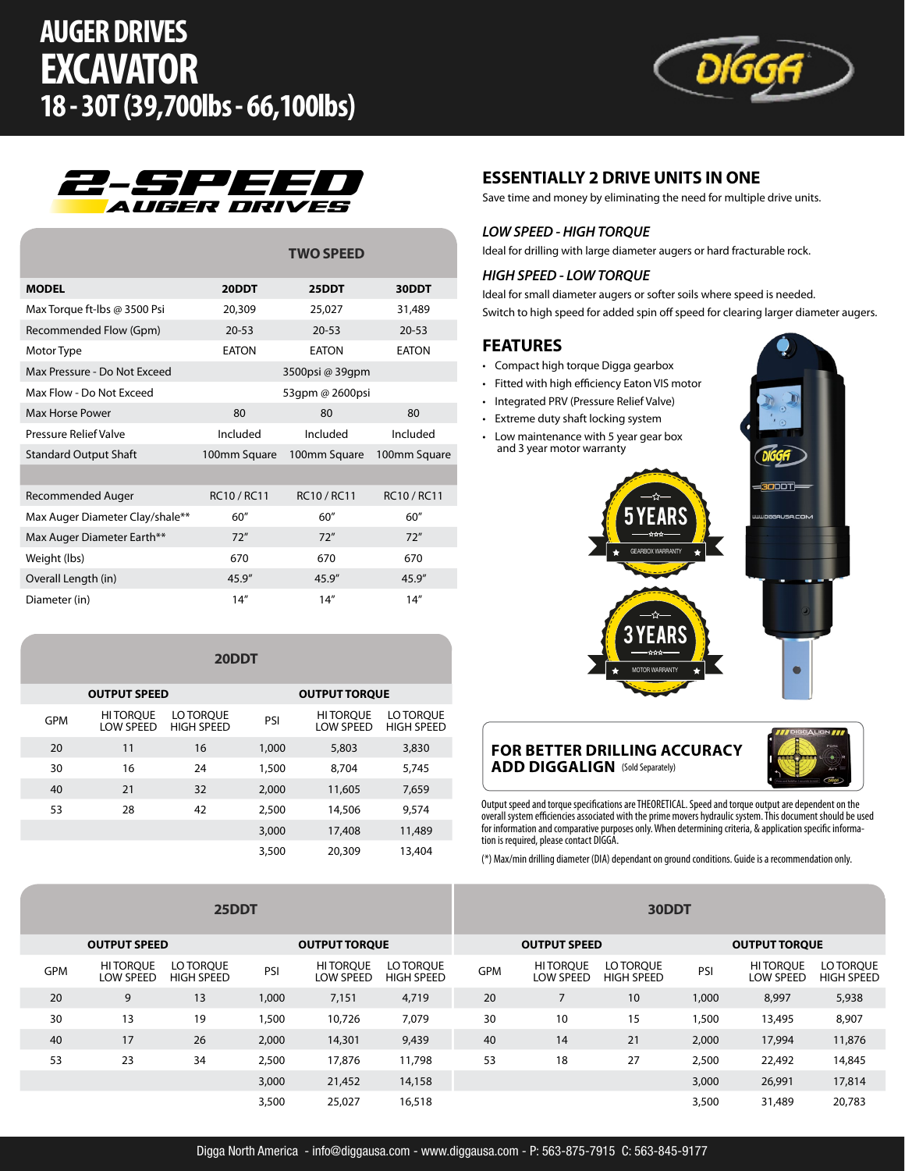# **AUGER DRIVES EXCAVATOR 18 - 30T (39,700lbs - 66,100lbs)**





|                                 | <b>TWO SPEED</b> |                 |              |  |  |  |  |
|---------------------------------|------------------|-----------------|--------------|--|--|--|--|
| <b>MODEL</b>                    | 20DDT            | 25DDT           | 30DDT        |  |  |  |  |
| Max Torque ft-lbs @ 3500 Psi    | 20,309           | 25,027          | 31,489       |  |  |  |  |
| Recommended Flow (Gpm)          | $20 - 53$        | $20 - 53$       | $20 - 53$    |  |  |  |  |
| Motor Type                      | <b>EATON</b>     | <b>EATON</b>    | <b>FATON</b> |  |  |  |  |
| Max Pressure - Do Not Exceed    |                  | 3500psi @ 39qpm |              |  |  |  |  |
| Max Flow - Do Not Exceed        | 53gpm @ 2600psi  |                 |              |  |  |  |  |
| Max Horse Power                 | 80               | 80              | 80           |  |  |  |  |
| Pressure Relief Valve           | Included         | Included        | Included     |  |  |  |  |
| <b>Standard Output Shaft</b>    | 100mm Square     | 100mm Square    | 100mm Square |  |  |  |  |
|                                 |                  |                 |              |  |  |  |  |
| Recommended Auger               | RC10 / RC11      | RC10 / RC11     | RC10 / RC11  |  |  |  |  |
| Max Auger Diameter Clay/shale** | 60"              | 60"             | 60''         |  |  |  |  |
| Max Auger Diameter Earth**      | 72"              | 72"             | 72"          |  |  |  |  |
| Weight (lbs)                    | 670              | 670             | 670          |  |  |  |  |
| Overall Length (in)             | 45.9''           | 45.9"           | 45.9"        |  |  |  |  |
| Diameter (in)                   | 14''             | 14''            | 14''         |  |  |  |  |

#### **20DDT**

|     | <b>OUTPUT SPEED</b>          |                                | <b>OUTPUT TORQUE</b> |                              |                                |  |  |  |
|-----|------------------------------|--------------------------------|----------------------|------------------------------|--------------------------------|--|--|--|
| GPM | <b>HITORQUE</b><br>LOW SPEED | LO TORQUE<br><b>HIGH SPEED</b> | PSI                  | <b>HITORQUE</b><br>LOW SPEED | LO TOROUE<br><b>HIGH SPEED</b> |  |  |  |
| 20  | 11                           | 16                             | 1,000                | 5,803                        | 3,830                          |  |  |  |
| 30  | 16                           | 24                             | 1,500                | 8,704                        | 5,745                          |  |  |  |
| 40  | 21                           | 32                             | 2,000                | 11,605                       | 7,659                          |  |  |  |
| 53  | 28                           | 42                             | 2,500                | 14,506                       | 9,574                          |  |  |  |
|     |                              |                                | 3,000                | 17,408                       | 11,489                         |  |  |  |
|     |                              |                                | 3,500                | 20,309                       | 13,404                         |  |  |  |

#### *LOW SPEED - HIGH TORQUE* Ideal for drilling with large diameter augers or hard fracturable rock.

### *HIGH SPEED - LOW TORQUE*

Ideal for small diameter augers or softer soils where speed is needed. Switch to high speed for added spin off speed for clearing larger diameter augers.

#### **FEATURES**

• Compact high torque Digga gearbox

**ESSENTIALLY 2 DRIVE UNITS IN ONE**

Save time and money by eliminating the need for multiple drive units.

- Fitted with high efficiency Eaton VIS motor
- Integrated PRV (Pressure Relief Valve)
- Extreme duty shaft locking system
- Low maintenance with 5 year gear box and 3 year motor warranty



#### **FOR BETTER DRILLING ACCURACY ADD DIGGALIGN** (Sold Separately)



Output speed and torque specifications are THEORETICAL. Speed and torque output are dependent on the overall system efficiencies associated with the prime movers hydraulic system. This document should be used for information and comparative purposes only. When determining criteria, & application specific information is required, please contact DIGGA.

(\*) Max/min drilling diameter (DIA) dependant on ground conditions. Guide is a recommendation only.

| 25DDT               |                                     |                                |                      |                                     | 30DDT                          |            |                                     |                                |       |                                     |                                |
|---------------------|-------------------------------------|--------------------------------|----------------------|-------------------------------------|--------------------------------|------------|-------------------------------------|--------------------------------|-------|-------------------------------------|--------------------------------|
| <b>OUTPUT SPEED</b> |                                     |                                | <b>OUTPUT TORQUE</b> |                                     | <b>OUTPUT SPEED</b>            |            |                                     | <b>OUTPUT TORQUE</b>           |       |                                     |                                |
| <b>GPM</b>          | <b>HITORQUE</b><br><b>LOW SPEED</b> | LO TOROUE<br><b>HIGH SPEED</b> | PSI                  | <b>HITOROUE</b><br><b>LOW SPEED</b> | LO TOROUE<br><b>HIGH SPEED</b> | <b>GPM</b> | <b>HITOROUE</b><br><b>LOW SPEED</b> | LO TOROUE<br><b>HIGH SPEED</b> | PSI   | <b>HITOROUE</b><br><b>LOW SPEED</b> | LO TOROUE<br><b>HIGH SPEED</b> |
| 20                  | 9                                   | 13                             | 1,000                | 7,151                               | 4,719                          | 20         |                                     | 10                             | 1,000 | 8,997                               | 5,938                          |
| 30                  | 13                                  | 19                             | 1,500                | 10,726                              | 7,079                          | 30         | 10                                  | 15                             | 1,500 | 13,495                              | 8,907                          |
| 40                  | 17                                  | 26                             | 2,000                | 14,301                              | 9,439                          | 40         | 14                                  | 21                             | 2,000 | 17,994                              | 11,876                         |
| 53                  | 23                                  | 34                             | 2,500                | 17,876                              | 11,798                         | 53         | 18                                  | 27                             | 2,500 | 22,492                              | 14,845                         |
|                     |                                     |                                | 3,000                | 21,452                              | 14,158                         |            |                                     |                                | 3,000 | 26,991                              | 17,814                         |
|                     |                                     |                                | 3,500                | 25,027                              | 16,518                         |            |                                     |                                | 3,500 | 31,489                              | 20,783                         |